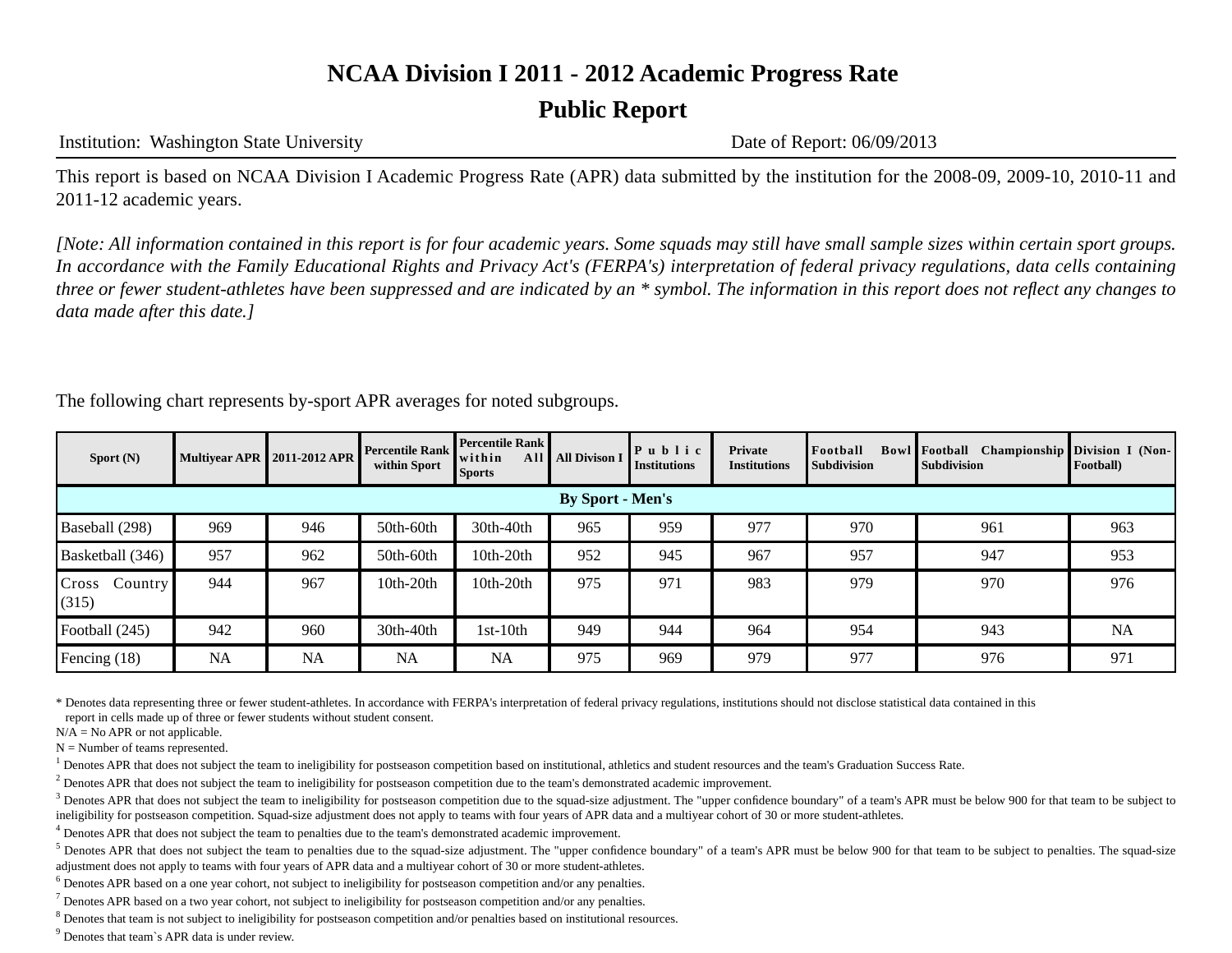### **Public Report**

Institution: Washington State University Date of Report: 06/09/2013

This report is based on NCAA Division I Academic Progress Rate (APR) data submitted by the institution for the 2008-09, 2009-10, 2010-11 and 2011-12 academic years.

*[Note: All information contained in this report is for four academic years. Some squads may still have small sample sizes within certain sport groups. In accordance with the Family Educational Rights and Privacy Act's (FERPA's) interpretation of federal privacy regulations, data cells containing three or fewer student-athletes have been suppressed and are indicated by an \* symbol. The information in this report does not reflect any changes to data made after this date.]*

The following chart represents by-sport APR averages for noted subgroups.

| Sport $(N)$               |                         | Multiyear APR 2011-2012 APR | <b>Percentile Rank</b><br>within Sport | <b>Percentile Rank</b><br>within<br><b>Sports</b> | All   All Divison I | Public<br><b>Institutions</b> | Private<br><b>Institutions</b> | Football<br><b>Subdivision</b> | <b>Bowl Football</b> Championship Division I (Non-<br><b>Subdivision</b> | Football) |  |
|---------------------------|-------------------------|-----------------------------|----------------------------------------|---------------------------------------------------|---------------------|-------------------------------|--------------------------------|--------------------------------|--------------------------------------------------------------------------|-----------|--|
|                           | <b>By Sport - Men's</b> |                             |                                        |                                                   |                     |                               |                                |                                |                                                                          |           |  |
| Baseball (298)            | 969                     | 946                         | 50th-60th                              | 30th-40th                                         | 965                 | 959                           | 977                            | 970                            | 961                                                                      | 963       |  |
| Basketball (346)          | 957                     | 962                         | 50th-60th                              | $10th-20th$                                       | 952                 | 945                           | 967                            | 957                            | 947                                                                      | 953       |  |
| Cross<br>Country<br>(315) | 944                     | 967                         | $10th-20th$                            | $10th-20th$                                       | 975                 | 971                           | 983                            | 979                            | 970                                                                      | 976       |  |
| Football (245)            | 942                     | 960                         | 30th-40th                              | 1st-10th                                          | 949                 | 944                           | 964                            | 954                            | 943                                                                      | <b>NA</b> |  |
| Fencing (18)              | <b>NA</b>               | <b>NA</b>                   | <b>NA</b>                              | <b>NA</b>                                         | 975                 | 969                           | 979                            | 977                            | 976                                                                      | 971       |  |

\* Denotes data representing three or fewer student-athletes. In accordance with FERPA's interpretation of federal privacy regulations, institutions should not disclose statistical data contained in this

report in cells made up of three or fewer students without student consent.

 $N/A = No$  APR or not applicable.

 $N =$  Number of teams represented.

<sup>1</sup> Denotes APR that does not subject the team to ineligibility for postseason competition based on institutional, athletics and student resources and the team's Graduation Success Rate.

 $<sup>2</sup>$  Denotes APR that does not subject the team to ineligibility for postseason competition due to the team's demonstrated academic improvement.</sup>

 $3$  Denotes APR that does not subject the team to ineligibility for postseason competition due to the squad-size adjustment. The "upper confidence boundary" of a team's APR must be below 900 for that team to be subject to ineligibility for postseason competition. Squad-size adjustment does not apply to teams with four years of APR data and a multiyear cohort of 30 or more student-athletes.

<sup>4</sup> Denotes APR that does not subject the team to penalties due to the team's demonstrated academic improvement.

<sup>5</sup> Denotes APR that does not subject the team to penalties due to the squad-size adjustment. The "upper confidence boundary" of a team's APR must be below 900 for that team to be subject to penalties. The squad-size adjustment does not apply to teams with four years of APR data and a multiyear cohort of 30 or more student-athletes.

<sup>6</sup> Denotes APR based on a one year cohort, not subject to ineligibility for postseason competition and/or any penalties.

 $^7$  Denotes APR based on a two year cohort, not subject to ineligibility for postseason competition and/or any penalties.

<sup>8</sup> Denotes that team is not subject to ineligibility for postseason competition and/or penalties based on institutional resources.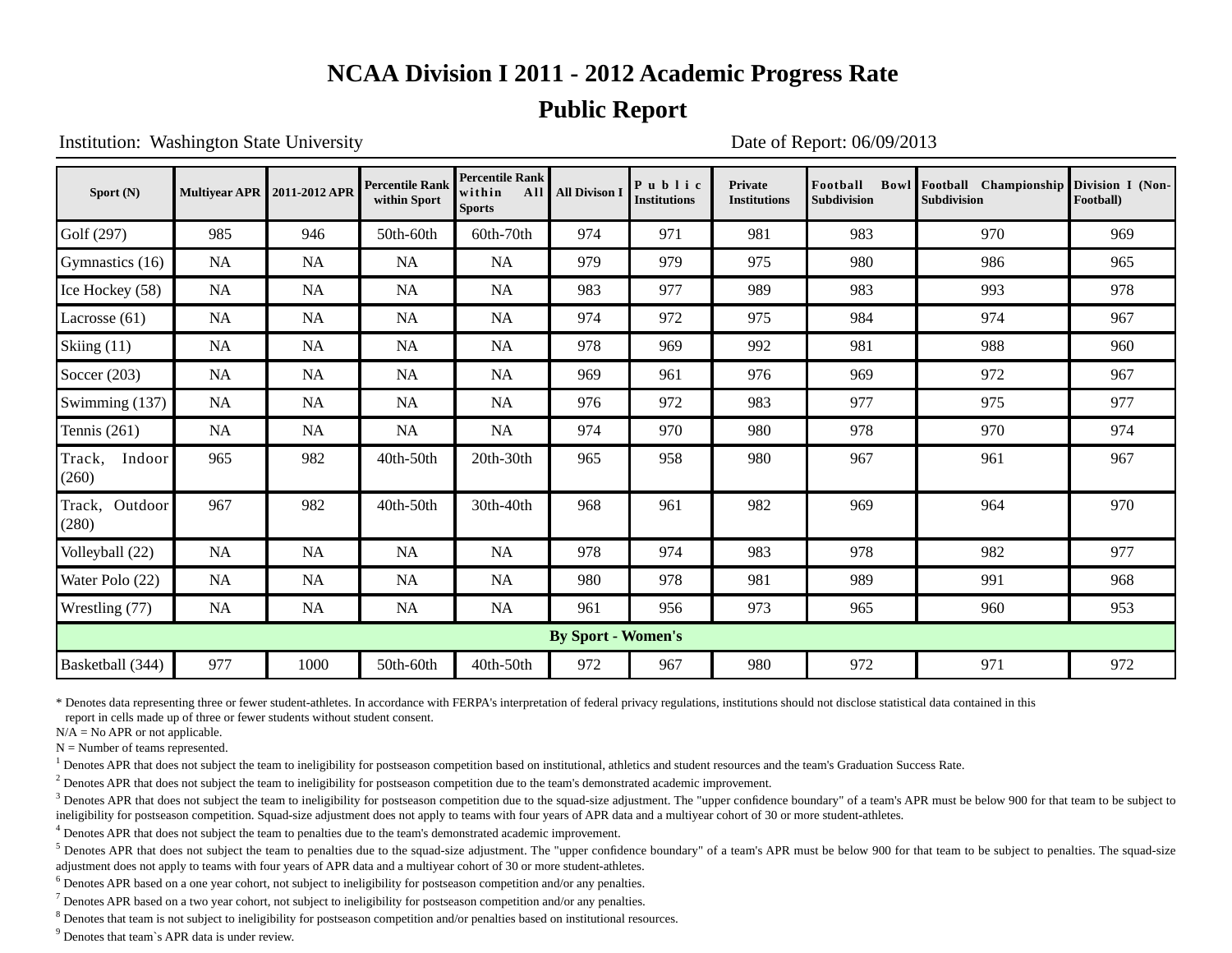### **Public Report**

Institution: Washington State University Date of Report: 06/09/2013

| Sport (N)                  |           | Multiyear APR 2011-2012 APR | <b>Percentile Rank</b><br>within Sport | <b>Percentile Rank</b><br>within<br>All<br><b>Sports</b> | <b>All Divison I</b>      | Public<br><b>Institutions</b> | <b>Private</b><br><b>Institutions</b> | Football<br><b>Subdivision</b> | Bowl Football Championship Division I (Non-<br><b>Subdivision</b> | Football) |
|----------------------------|-----------|-----------------------------|----------------------------------------|----------------------------------------------------------|---------------------------|-------------------------------|---------------------------------------|--------------------------------|-------------------------------------------------------------------|-----------|
| Golf (297)                 | 985       | 946                         | 50th-60th                              | 60th-70th                                                | 974                       | 971                           | 981                                   | 983                            | 970                                                               | 969       |
| Gymnastics (16)            | <b>NA</b> | <b>NA</b>                   | <b>NA</b>                              | <b>NA</b>                                                | 979                       | 979                           | 975                                   | 980                            | 986                                                               | 965       |
| Ice Hockey (58)            | <b>NA</b> | <b>NA</b>                   | <b>NA</b>                              | <b>NA</b>                                                | 983                       | 977                           | 989                                   | 983                            | 993                                                               | 978       |
| Lacrosse $(61)$            | <b>NA</b> | <b>NA</b>                   | <b>NA</b>                              | <b>NA</b>                                                | 974                       | 972                           | 975                                   | 984                            | 974                                                               | 967       |
| Skiing (11)                | <b>NA</b> | NA                          | NA                                     | <b>NA</b>                                                | 978                       | 969                           | 992                                   | 981                            | 988                                                               | 960       |
| Soccer $(203)$             | <b>NA</b> | <b>NA</b>                   | <b>NA</b>                              | <b>NA</b>                                                | 969                       | 961                           | 976                                   | 969                            | 972                                                               | 967       |
| Swimming $(137)$           | NA        | NA                          | NA                                     | <b>NA</b>                                                | 976                       | 972                           | 983                                   | 977                            | 975                                                               | 977       |
| Tennis $(261)$             | NA        | <b>NA</b>                   | NA                                     | <b>NA</b>                                                | 974                       | 970                           | 980                                   | 978                            | 970                                                               | 974       |
| Track,<br>Indoor<br>(260)  | 965       | 982                         | $40th-50th$                            | 20th-30th                                                | 965                       | 958                           | 980                                   | 967                            | 961                                                               | 967       |
| Outdoor<br>Track,<br>(280) | 967       | 982                         | 40th-50th                              | 30th-40th                                                | 968                       | 961                           | 982                                   | 969                            | 964                                                               | 970       |
| Volleyball (22)            | <b>NA</b> | <b>NA</b>                   | <b>NA</b>                              | <b>NA</b>                                                | 978                       | 974                           | 983                                   | 978                            | 982                                                               | 977       |
| Water Polo (22)            | <b>NA</b> | <b>NA</b>                   | <b>NA</b>                              | <b>NA</b>                                                | 980                       | 978                           | 981                                   | 989                            | 991                                                               | 968       |
| Wrestling (77)             | <b>NA</b> | <b>NA</b>                   | <b>NA</b>                              | <b>NA</b>                                                | 961                       | 956                           | 973                                   | 965                            | 960                                                               | 953       |
|                            |           |                             |                                        |                                                          | <b>By Sport - Women's</b> |                               |                                       |                                |                                                                   |           |
| Basketball (344)           | 977       | 1000                        | 50th-60th                              | 40th-50th                                                | 972                       | 967                           | 980                                   | 972                            | 971                                                               | 972       |

\* Denotes data representing three or fewer student-athletes. In accordance with FERPA's interpretation of federal privacy regulations, institutions should not disclose statistical data contained in this

report in cells made up of three or fewer students without student consent.

 $N/A = No$  APR or not applicable.

 $N =$  Number of teams represented.

<sup>1</sup> Denotes APR that does not subject the team to ineligibility for postseason competition based on institutional, athletics and student resources and the team's Graduation Success Rate.

 $<sup>2</sup>$  Denotes APR that does not subject the team to ineligibility for postseason competition due to the team's demonstrated academic improvement.</sup>

 $3$  Denotes APR that does not subject the team to ineligibility for postseason competition due to the squad-size adjustment. The "upper confidence boundary" of a team's APR must be below 900 for that team to be subject to ineligibility for postseason competition. Squad-size adjustment does not apply to teams with four years of APR data and a multiyear cohort of 30 or more student-athletes.

<sup>4</sup> Denotes APR that does not subject the team to penalties due to the team's demonstrated academic improvement.

<sup>5</sup> Denotes APR that does not subject the team to penalties due to the squad-size adjustment. The "upper confidence boundary" of a team's APR must be below 900 for that team to be subject to penalties. The squad-size adjustment does not apply to teams with four years of APR data and a multiyear cohort of 30 or more student-athletes.

<sup>6</sup> Denotes APR based on a one year cohort, not subject to ineligibility for postseason competition and/or any penalties.

 $^7$  Denotes APR based on a two year cohort, not subject to ineligibility for postseason competition and/or any penalties.

<sup>8</sup> Denotes that team is not subject to ineligibility for postseason competition and/or penalties based on institutional resources.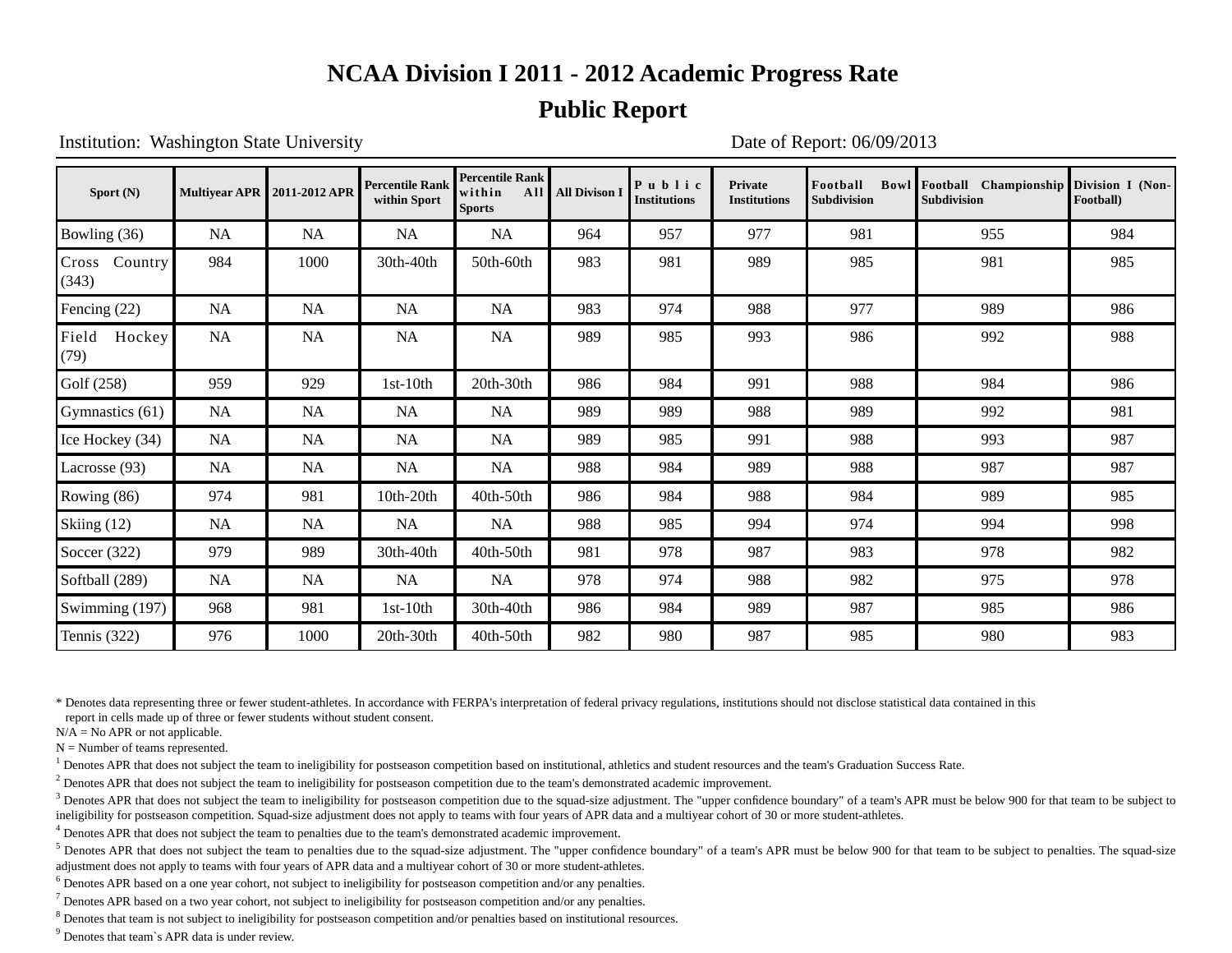### **Public Report**

Institution: Washington State University Date of Report: 06/09/2013

| Sport $(N)$             |           | Multivear APR 2011-2012 APR | <b>Percentile Rank</b><br>within Sport | <b>Percentile Rank</b><br>within<br><b>Sports</b> | All   All Divison I | Public<br><b>Institutions</b> | <b>Private</b><br><b>Institutions</b> | Football<br><b>Subdivision</b> | Bowl Football Championship Division I (Non-<br>Subdivision | Football) |
|-------------------------|-----------|-----------------------------|----------------------------------------|---------------------------------------------------|---------------------|-------------------------------|---------------------------------------|--------------------------------|------------------------------------------------------------|-----------|
| Bowling (36)            | NA        | NA                          | NA                                     | NA                                                | 964                 | 957                           | 977                                   | 981                            | 955                                                        | 984       |
| Cross Country<br>(343)  | 984       | 1000                        | 30th-40th                              | 50th-60th                                         | 983                 | 981                           | 989                                   | 985                            | 981                                                        | 985       |
| Fencing (22)            | <b>NA</b> | <b>NA</b>                   | <b>NA</b>                              | <b>NA</b>                                         | 983                 | 974                           | 988                                   | 977                            | 989                                                        | 986       |
| Field<br>Hockey<br>(79) | <b>NA</b> | <b>NA</b>                   | NA                                     | <b>NA</b>                                         | 989                 | 985                           | 993                                   | 986                            | 992                                                        | 988       |
| Golf (258)              | 959       | 929                         | $1st-10th$                             | 20th-30th                                         | 986                 | 984                           | 991                                   | 988                            | 984                                                        | 986       |
| Gymnastics (61)         | <b>NA</b> | <b>NA</b>                   | <b>NA</b>                              | NA                                                | 989                 | 989                           | 988                                   | 989                            | 992                                                        | 981       |
| Ice Hockey (34)         | <b>NA</b> | <b>NA</b>                   | NA                                     | <b>NA</b>                                         | 989                 | 985                           | 991                                   | 988                            | 993                                                        | 987       |
| Lacrosse (93)           | NA        | NA                          | <b>NA</b>                              | NA                                                | 988                 | 984                           | 989                                   | 988                            | 987                                                        | 987       |
| Rowing (86)             | 974       | 981                         | 10th-20th                              | 40th-50th                                         | 986                 | 984                           | 988                                   | 984                            | 989                                                        | 985       |
| Skiing (12)             | <b>NA</b> | <b>NA</b>                   | <b>NA</b>                              | NA                                                | 988                 | 985                           | 994                                   | 974                            | 994                                                        | 998       |
| Soccer $(322)$          | 979       | 989                         | 30th-40th                              | 40th-50th                                         | 981                 | 978                           | 987                                   | 983                            | 978                                                        | 982       |
| Softball (289)          | <b>NA</b> | <b>NA</b>                   | <b>NA</b>                              | NA                                                | 978                 | 974                           | 988                                   | 982                            | 975                                                        | 978       |
| Swimming (197)          | 968       | 981                         | $1st-10th$                             | 30th-40th                                         | 986                 | 984                           | 989                                   | 987                            | 985                                                        | 986       |
| Tennis $(322)$          | 976       | 1000                        | 20th-30th                              | 40th-50th                                         | 982                 | 980                           | 987                                   | 985                            | 980                                                        | 983       |

\* Denotes data representing three or fewer student-athletes. In accordance with FERPA's interpretation of federal privacy regulations, institutions should not disclose statistical data contained in this report in cells made up of three or fewer students without student consent.

 $N/A = No$  APR or not applicable.

 $N =$  Number of teams represented.

<sup>1</sup> Denotes APR that does not subject the team to ineligibility for postseason competition based on institutional, athletics and student resources and the team's Graduation Success Rate.

 $<sup>2</sup>$  Denotes APR that does not subject the team to ineligibility for postseason competition due to the team's demonstrated academic improvement.</sup>

 $3$  Denotes APR that does not subject the team to ineligibility for postseason competition due to the squad-size adjustment. The "upper confidence boundary" of a team's APR must be below 900 for that team to be subject to ineligibility for postseason competition. Squad-size adjustment does not apply to teams with four years of APR data and a multiyear cohort of 30 or more student-athletes.

<sup>4</sup> Denotes APR that does not subject the team to penalties due to the team's demonstrated academic improvement.

<sup>5</sup> Denotes APR that does not subject the team to penalties due to the squad-size adjustment. The "upper confidence boundary" of a team's APR must be below 900 for that team to be subject to penalties. The squad-size adjustment does not apply to teams with four years of APR data and a multiyear cohort of 30 or more student-athletes.

<sup>6</sup> Denotes APR based on a one year cohort, not subject to ineligibility for postseason competition and/or any penalties.

 $^7$  Denotes APR based on a two year cohort, not subject to ineligibility for postseason competition and/or any penalties.

<sup>8</sup> Denotes that team is not subject to ineligibility for postseason competition and/or penalties based on institutional resources.